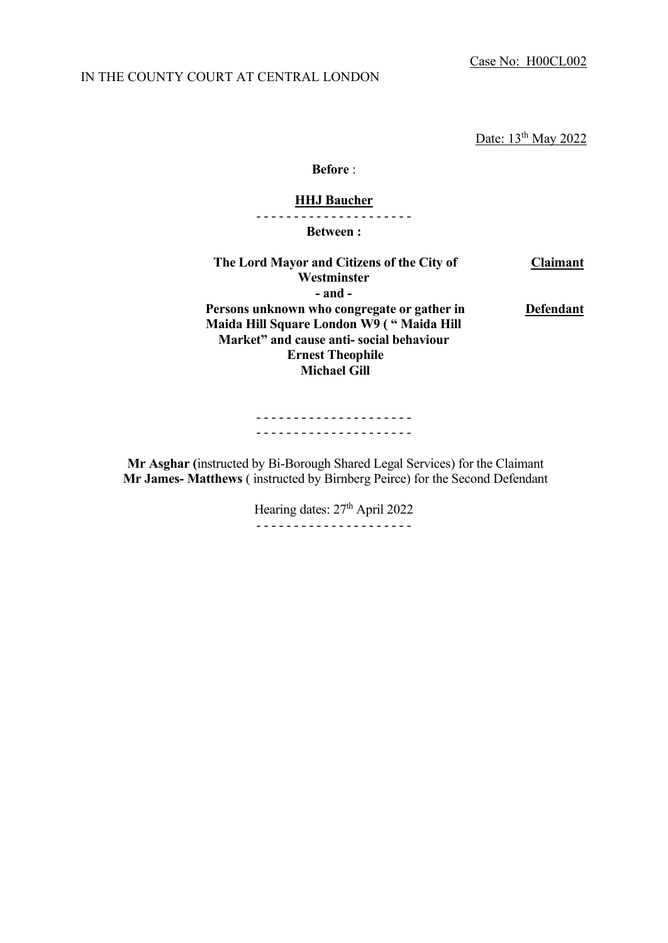Case No: H00CL002

Date: 13<sup>th</sup> May 2022

**Before** :

### **HHJ Baucher**

- - - - - - - - - - - - - - - - - - - - -

**Between :**

| The Lord Mayor and Citizens of the City of  | <b>Claimant</b>  |
|---------------------------------------------|------------------|
| Westminster                                 |                  |
| - and -                                     |                  |
| Persons unknown who congregate or gather in | <b>Defendant</b> |
| Maida Hill Square London W9 ("Maida Hill    |                  |
| Market" and cause anti-social behaviour     |                  |
| <b>Ernest Theophile</b>                     |                  |
| <b>Michael Gill</b>                         |                  |
|                                             |                  |

- - - - - - - - - - - - - - - - - - - - - - - - - - - - - - - - - - - - - - - - - -

**Mr Asghar (**instructed by Bi-Borough Shared Legal Services) for the Claimant **Mr James- Matthews** ( instructed by Birnberg Peirce) for the Second Defendant

> Hearing dates: 27<sup>th</sup> April 2022 - - - - - - - - - - - - - - - - - - - - -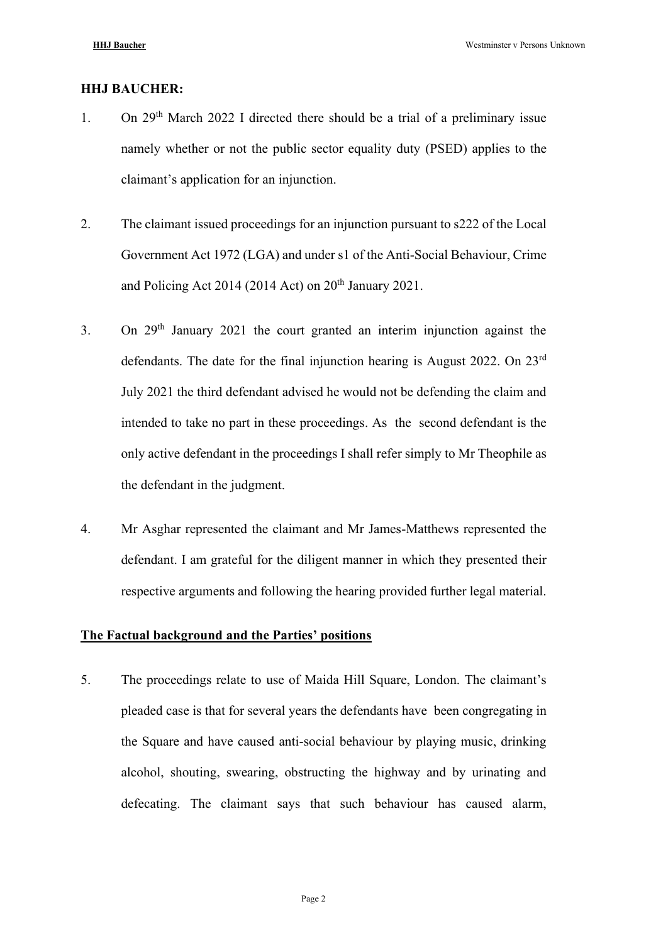#### **HHJ BAUCHER:**

- 1. On  $29<sup>th</sup>$  March 2022 I directed there should be a trial of a preliminary issue namely whether or not the public sector equality duty (PSED) applies to the claimant's application for an injunction.
- 2. The claimant issued proceedings for an injunction pursuant to s222 of the Local Government Act 1972 (LGA) and under s1 of the Anti-Social Behaviour, Crime and Policing Act 2014 (2014 Act) on  $20<sup>th</sup>$  January 2021.
- 3. On  $29<sup>th</sup>$  January 2021 the court granted an interim injunction against the defendants. The date for the final injunction hearing is August 2022. On 23<sup>rd</sup> July 2021 the third defendant advised he would not be defending the claim and intended to take no part in these proceedings. As the second defendant is the only active defendant in the proceedings I shall refer simply to Mr Theophile as the defendant in the judgment.
- 4. Mr Asghar represented the claimant and Mr James-Matthews represented the defendant. I am grateful for the diligent manner in which they presented their respective arguments and following the hearing provided further legal material.

#### **The Factual background and the Parties' positions**

5. The proceedings relate to use of Maida Hill Square, London. The claimant's pleaded case is that for several years the defendants have been congregating in the Square and have caused anti-social behaviour by playing music, drinking alcohol, shouting, swearing, obstructing the highway and by urinating and defecating. The claimant says that such behaviour has caused alarm,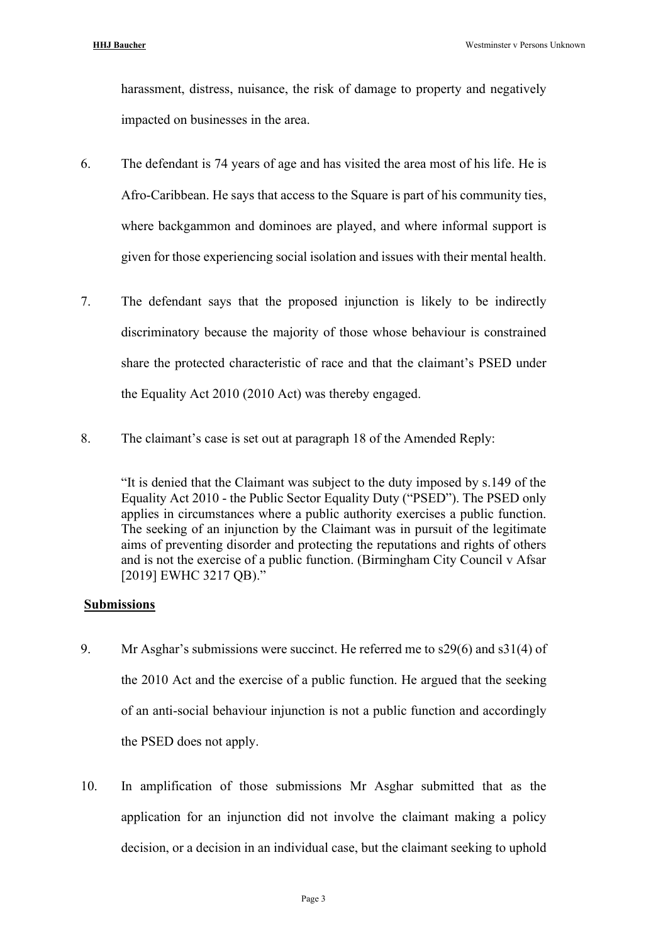harassment, distress, nuisance, the risk of damage to property and negatively impacted on businesses in the area.

- 6. The defendant is 74 years of age and has visited the area most of his life. He is Afro-Caribbean. He says that access to the Square is part of his community ties, where backgammon and dominoes are played, and where informal support is given for those experiencing social isolation and issues with their mental health.
- 7. The defendant says that the proposed injunction is likely to be indirectly discriminatory because the majority of those whose behaviour is constrained share the protected characteristic of race and that the claimant's PSED under the Equality Act 2010 (2010 Act) was thereby engaged.
- 8. The claimant's case is set out at paragraph 18 of the Amended Reply:

"It is denied that the Claimant was subject to the duty imposed by s.149 of the Equality Act 2010 - the Public Sector Equality Duty ("PSED"). The PSED only applies in circumstances where a public authority exercises a public function. The seeking of an injunction by the Claimant was in pursuit of the legitimate aims of preventing disorder and protecting the reputations and rights of others and is not the exercise of a public function. (Birmingham City Council v Afsar [2019] EWHC 3217 QB)."

## **Submissions**

- 9. Mr Asghar's submissions were succinct. He referred me to s29(6) and s31(4) of the 2010 Act and the exercise of a public function. He argued that the seeking of an anti-social behaviour injunction is not a public function and accordingly the PSED does not apply.
- 10. In amplification of those submissions Mr Asghar submitted that as the application for an injunction did not involve the claimant making a policy decision, or a decision in an individual case, but the claimant seeking to uphold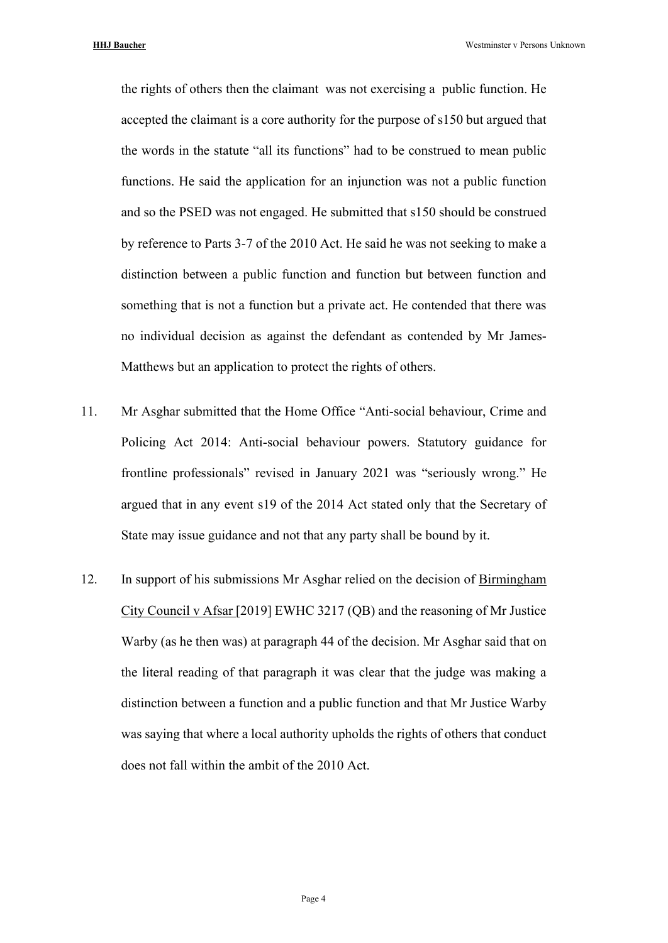the rights of others then the claimant was not exercising a public function. He accepted the claimant is a core authority for the purpose of s150 but argued that the words in the statute "all its functions" had to be construed to mean public functions. He said the application for an injunction was not a public function and so the PSED was not engaged. He submitted that s150 should be construed by reference to Parts 3-7 of the 2010 Act. He said he was not seeking to make a distinction between a public function and function but between function and something that is not a function but a private act. He contended that there was no individual decision as against the defendant as contended by Mr James-Matthews but an application to protect the rights of others.

- 11. Mr Asghar submitted that the Home Office "Anti-social behaviour, Crime and Policing Act 2014: Anti-social behaviour powers. Statutory guidance for frontline professionals" revised in January 2021 was "seriously wrong." He argued that in any event s19 of the 2014 Act stated only that the Secretary of State may issue guidance and not that any party shall be bound by it.
- 12. In support of his submissions Mr Asghar relied on the decision of Birmingham City Council v Afsar [2019] EWHC 3217 (QB) and the reasoning of Mr Justice Warby (as he then was) at paragraph 44 of the decision. Mr Asghar said that on the literal reading of that paragraph it was clear that the judge was making a distinction between a function and a public function and that Mr Justice Warby was saying that where a local authority upholds the rights of others that conduct does not fall within the ambit of the 2010 Act.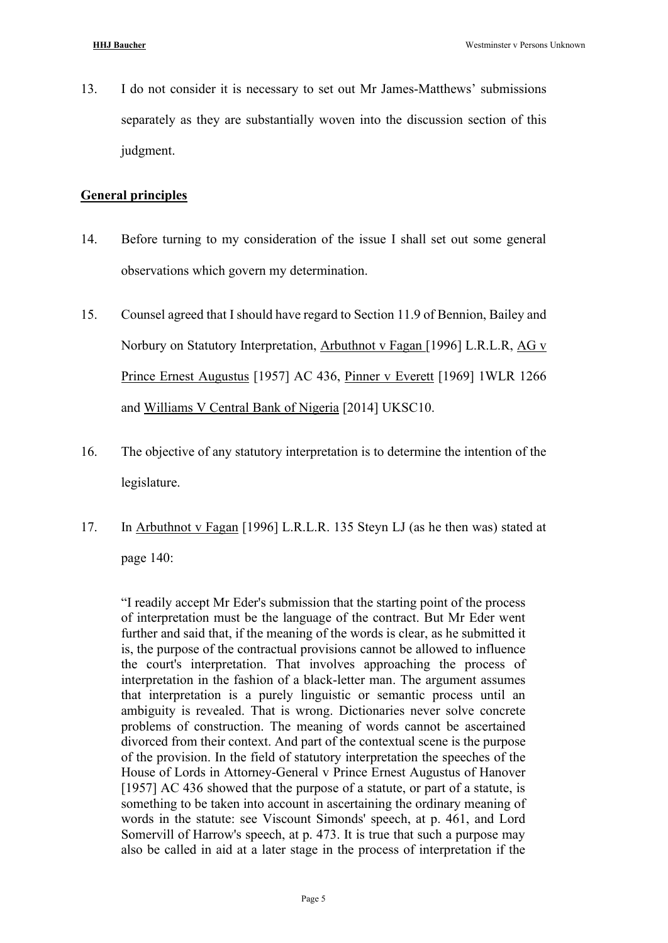13. I do not consider it is necessary to set out Mr James-Matthews' submissions separately as they are substantially woven into the discussion section of this judgment.

# **General principles**

- 14. Before turning to my consideration of the issue I shall set out some general observations which govern my determination.
- 15. Counsel agreed that I should have regard to Section 11.9 of Bennion, Bailey and Norbury on Statutory Interpretation, Arbuthnot v Fagan [1996] L.R.L.R, AG v Prince Ernest Augustus [1957] AC 436, Pinner v Everett [1969] 1WLR 1266 and Williams V Central Bank of Nigeria [2014] UKSC10.
- 16. The objective of any statutory interpretation is to determine the intention of the legislature.
- 17. In Arbuthnot v Fagan [1996] L.R.L.R. 135 Steyn LJ (as he then was) stated at page 140:

"I readily accept Mr Eder's submission that the starting point of the process of interpretation must be the language of the contract. But Mr Eder went further and said that, if the meaning of the words is clear, as he submitted it is, the purpose of the contractual provisions cannot be allowed to influence the court's interpretation. That involves approaching the process of interpretation in the fashion of a black-letter man. The argument assumes that interpretation is a purely linguistic or semantic process until an ambiguity is revealed. That is wrong. Dictionaries never solve concrete problems of construction. The meaning of words cannot be ascertained divorced from their context. And part of the contextual scene is the purpose of the provision. In the field of statutory interpretation the speeches of the House of Lords in Attorney-General v Prince Ernest Augustus of Hanover [1957] AC 436 showed that the purpose of a statute, or part of a statute, is something to be taken into account in ascertaining the ordinary meaning of words in the statute: see Viscount Simonds' speech, at p. 461, and Lord Somervill of Harrow's speech, at p. 473. It is true that such a purpose may also be called in aid at a later stage in the process of interpretation if the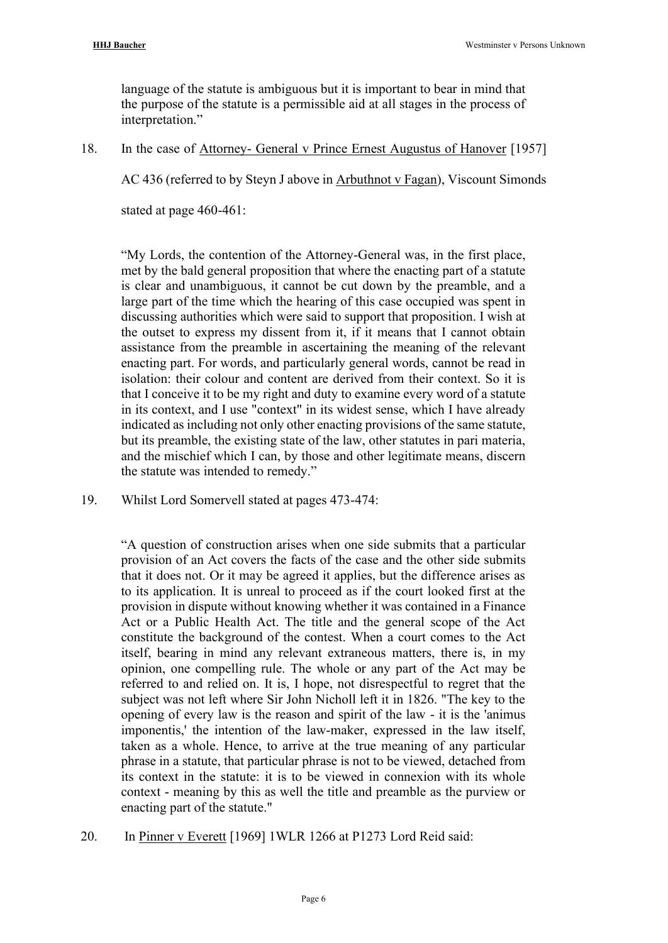language of the statute is ambiguous but it is important to bear in mind that the purpose of the statute is a permissible aid at all stages in the process of interpretation."

18. In the case of Attorney- General v Prince Ernest Augustus of Hanover [1957]

AC 436 (referred to by Steyn J above in Arbuthnot v Fagan), Viscount Simonds

stated at page 460-461:

"My Lords, the contention of the Attorney-General was, in the first place, met by the bald general proposition that where the enacting part of a statute is clear and unambiguous, it cannot be cut down by the preamble, and a large part of the time which the hearing of this case occupied was spent in discussing authorities which were said to support that proposition. I wish at the outset to express my dissent from it, if it means that I cannot obtain assistance from the preamble in ascertaining the meaning of the relevant enacting part. For words, and particularly general words, cannot be read in isolation: their colour and content are derived from their context. So it is that I conceive it to be my right and duty to examine every word of a statute in its context, and I use "context" in its widest sense, which I have already indicated as including not only other enacting provisions of the same statute, but its preamble, the existing state of the law, other statutes in pari materia, and the mischief which I can, by those and other legitimate means, discern the statute was intended to remedy."

19. Whilst Lord Somervell stated at pages 473-474:

"A question of construction arises when one side submits that a particular provision of an Act covers the facts of the case and the other side submits that it does not. Or it may be agreed it applies, but the difference arises as to its application. It is unreal to proceed as if the court looked first at the provision in dispute without knowing whether it was contained in a Finance Act or a Public Health Act. The title and the general scope of the Act constitute the background of the contest. When a court comes to the Act itself, bearing in mind any relevant extraneous matters, there is, in my opinion, one compelling rule. The whole or any part of the Act may be referred to and relied on. It is, I hope, not disrespectful to regret that the subject was not left where Sir John Nicholl left it in 1826. "The key to the opening of every law is the reason and spirit of the law - it is the 'animus imponentis,' the intention of the law-maker, expressed in the law itself, taken as a whole. Hence, to arrive at the true meaning of any particular phrase in a statute, that particular phrase is not to be viewed, detached from its context in the statute: it is to be viewed in connexion with its whole context - meaning by this as well the title and preamble as the purview or enacting part of the statute."

20. In Pinner v Everett [1969] 1WLR 1266 at P1273 Lord Reid said: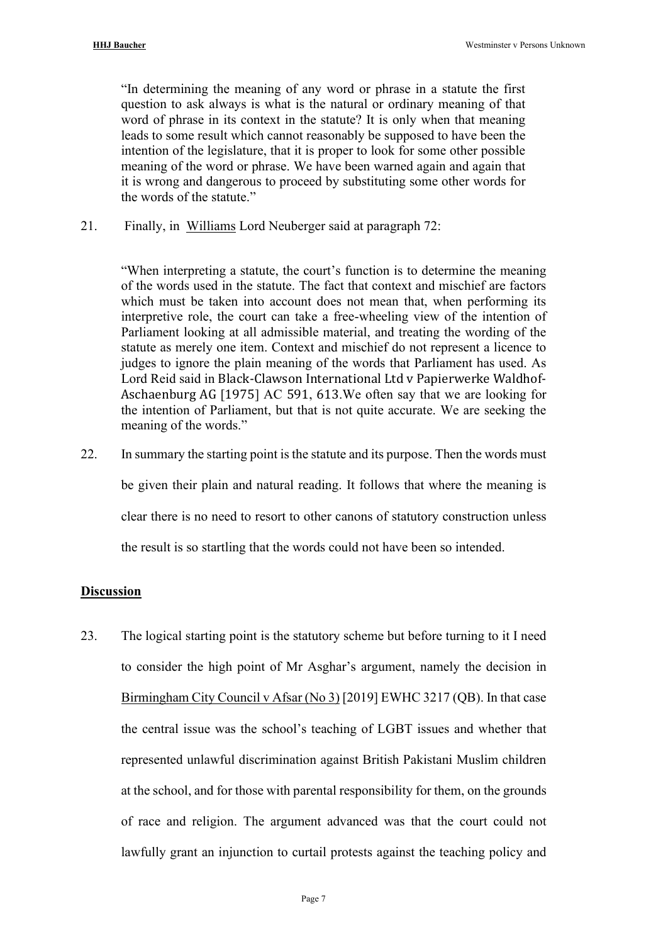"In determining the meaning of any word or phrase in a statute the first question to ask always is what is the natural or ordinary meaning of that word of phrase in its context in the statute? It is only when that meaning leads to some result which cannot reasonably be supposed to have been the intention of the legislature, that it is proper to look for some other possible meaning of the word or phrase. We have been warned again and again that it is wrong and dangerous to proceed by substituting some other words for the words of the statute."

21. Finally, in Williams Lord Neuberger said at paragraph 72:

"When interpreting a statute, the court's function is to determine the meaning of the words used in the statute. The fact that context and mischief are factors which must be taken into account does not mean that, when performing its interpretive role, the court can take a free-wheeling view of the intention of Parliament looking at all admissible material, and treating the wording of the statute as merely one item. Context and mischief do not represent a licence to judges to ignore the plain meaning of the words that Parliament has used. As Lord Reid said in Black-Clawson International Ltd v Papierwerke Waldhof-Aschaenburg AG [1975] AC 591, 613.We often say that we are looking for the intention of Parliament, but that is not quite accurate. We are seeking the meaning of the words."

22. In summary the starting point is the statute and its purpose. Then the words must be given their plain and natural reading. It follows that where the meaning is clear there is no need to resort to other canons of statutory construction unless

the result is so startling that the words could not have been so intended.

# **Discussion**

23. The logical starting point is the statutory scheme but before turning to it I need to consider the high point of Mr Asghar's argument, namely the decision in Birmingham City Council v Afsar (No 3) [2019] EWHC 3217 (QB). In that case the central issue was the school's teaching of LGBT issues and whether that represented unlawful discrimination against British Pakistani Muslim children at the school, and for those with parental responsibility for them, on the grounds of race and religion. The argument advanced was that the court could not lawfully grant an injunction to curtail protests against the teaching policy and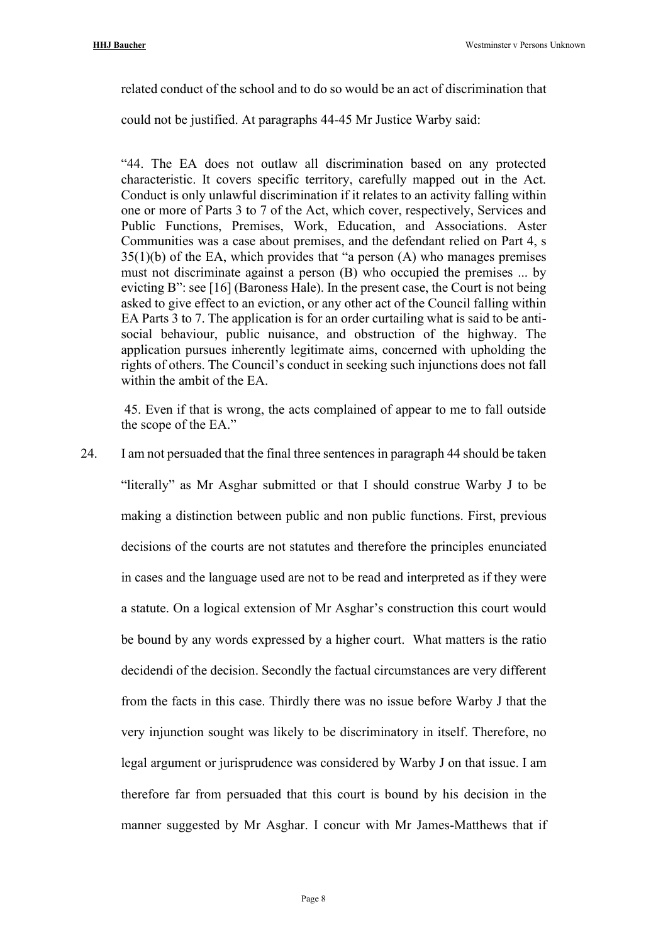related conduct of the school and to do so would be an act of discrimination that

could not be justified. At paragraphs 44-45 Mr Justice Warby said:

"44. The EA does not outlaw all discrimination based on any protected characteristic. It covers specific territory, carefully mapped out in the Act. Conduct is only unlawful discrimination if it relates to an activity falling within one or more of Parts 3 to 7 of the Act, which cover, respectively, Services and Public Functions, Premises, Work, Education, and Associations. Aster Communities was a case about premises, and the defendant relied on Part 4, s  $35(1)(b)$  of the EA, which provides that "a person (A) who manages premises must not discriminate against a person (B) who occupied the premises ... by evicting B": see [16] (Baroness Hale). In the present case, the Court is not being asked to give effect to an eviction, or any other act of the Council falling within EA Parts 3 to 7. The application is for an order curtailing what is said to be antisocial behaviour, public nuisance, and obstruction of the highway. The application pursues inherently legitimate aims, concerned with upholding the rights of others. The Council's conduct in seeking such injunctions does not fall within the ambit of the EA.

45. Even if that is wrong, the acts complained of appear to me to fall outside the scope of the EA."

24. I am not persuaded that the final three sentences in paragraph 44 should be taken "literally" as Mr Asghar submitted or that I should construe Warby J to be making a distinction between public and non public functions. First, previous decisions of the courts are not statutes and therefore the principles enunciated in cases and the language used are not to be read and interpreted as if they were a statute. On a logical extension of Mr Asghar's construction this court would be bound by any words expressed by a higher court. What matters is the ratio decidendi of the decision. Secondly the factual circumstances are very different from the facts in this case. Thirdly there was no issue before Warby J that the very injunction sought was likely to be discriminatory in itself. Therefore, no legal argument or jurisprudence was considered by Warby J on that issue. I am therefore far from persuaded that this court is bound by his decision in the manner suggested by Mr Asghar. I concur with Mr James-Matthews that if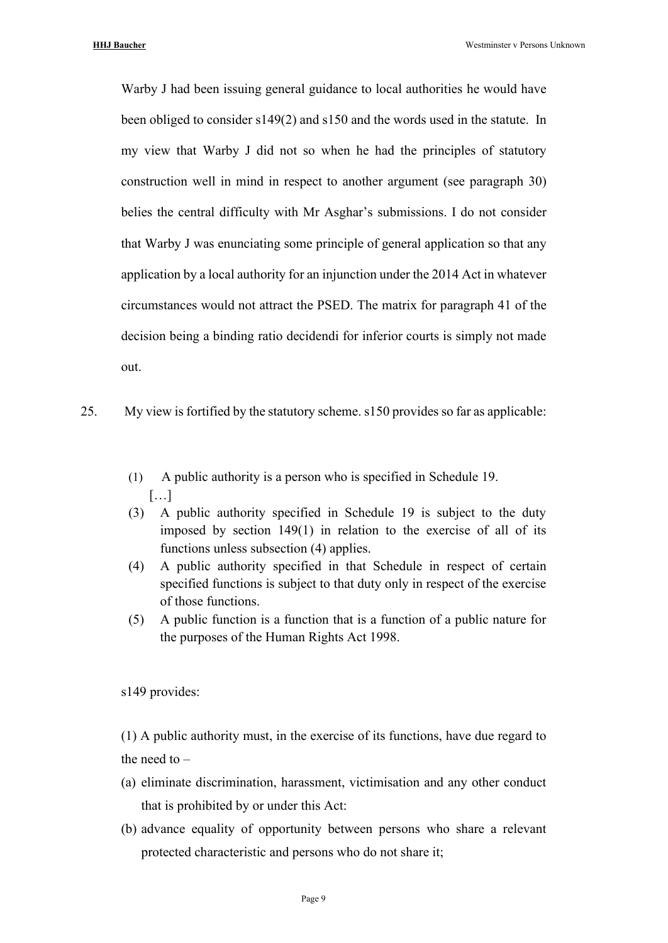Warby J had been issuing general guidance to local authorities he would have been obliged to consider s149(2) and s150 and the words used in the statute. In my view that Warby J did not so when he had the principles of statutory construction well in mind in respect to another argument (see paragraph 30) belies the central difficulty with Mr Asghar's submissions. I do not consider that Warby J was enunciating some principle of general application so that any application by a local authority for an injunction under the 2014 Act in whatever circumstances would not attract the PSED. The matrix for paragraph 41 of the decision being a binding ratio decidendi for inferior courts is simply not made out.

- 25. My view is fortified by the statutory scheme. s150 provides so far as applicable:
	- (1) A public authority is a person who is specified in Schedule 19. […]
	- (3) A public authority specified in Schedule 19 is subject to the duty imposed by section 149(1) in relation to the exercise of all of its functions unless subsection (4) applies.
	- (4) A public authority specified in that Schedule in respect of certain specified functions is subject to that duty only in respect of the exercise of those functions.
	- (5) A public function is a function that is a function of a public nature for the purposes of the Human Rights Act 1998.

s149 provides:

(1) A public authority must, in the exercise of its functions, have due regard to the need to –

- (a) eliminate discrimination, harassment, victimisation and any other conduct that is prohibited by or under this Act:
- (b) advance equality of opportunity between persons who share a relevant protected characteristic and persons who do not share it;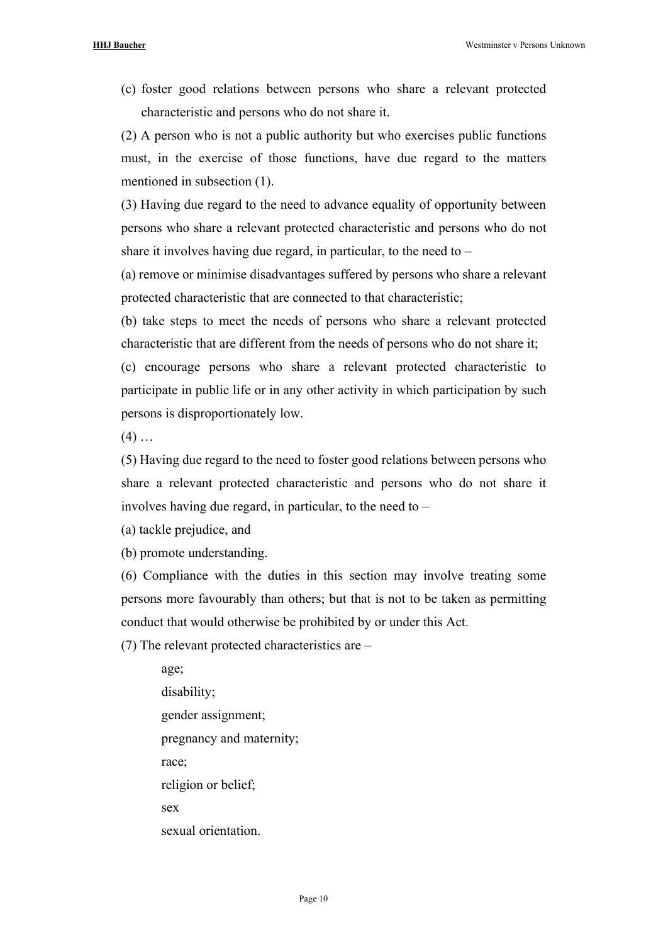(c) foster good relations between persons who share a relevant protected characteristic and persons who do not share it.

(2) A person who is not a public authority but who exercises public functions must, in the exercise of those functions, have due regard to the matters mentioned in subsection (1).

(3) Having due regard to the need to advance equality of opportunity between persons who share a relevant protected characteristic and persons who do not share it involves having due regard, in particular, to the need to  $-$ 

(a) remove or minimise disadvantages suffered by persons who share a relevant protected characteristic that are connected to that characteristic;

(b) take steps to meet the needs of persons who share a relevant protected characteristic that are different from the needs of persons who do not share it;

(c) encourage persons who share a relevant protected characteristic to participate in public life or in any other activity in which participation by such persons is disproportionately low.

 $(4)$  ...

(5) Having due regard to the need to foster good relations between persons who share a relevant protected characteristic and persons who do not share it involves having due regard, in particular, to the need to –

(a) tackle prejudice, and

(b) promote understanding.

(6) Compliance with the duties in this section may involve treating some persons more favourably than others; but that is not to be taken as permitting conduct that would otherwise be prohibited by or under this Act.

(7) The relevant protected characteristics are –

age; disability; gender assignment; pregnancy and maternity; race; religion or belief; sex sexual orientation.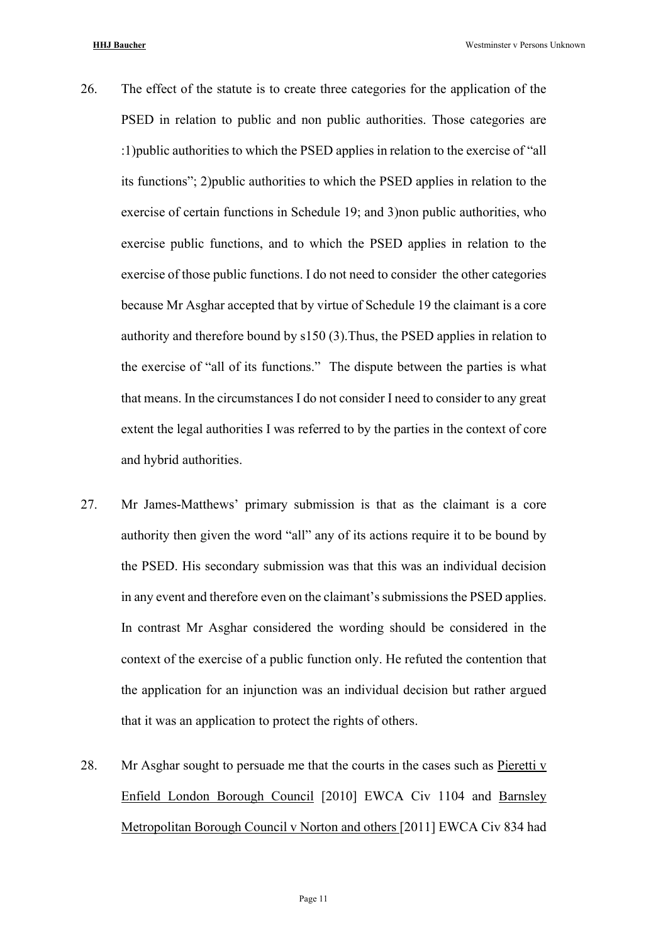- 26. The effect of the statute is to create three categories for the application of the PSED in relation to public and non public authorities. Those categories are :1)public authorities to which the PSED applies in relation to the exercise of "all its functions"; 2)public authorities to which the PSED applies in relation to the exercise of certain functions in Schedule 19; and 3)non public authorities, who exercise public functions, and to which the PSED applies in relation to the exercise of those public functions. I do not need to consider the other categories because Mr Asghar accepted that by virtue of Schedule 19 the claimant is a core authority and therefore bound by s150 (3).Thus, the PSED applies in relation to the exercise of "all of its functions." The dispute between the parties is what that means. In the circumstances I do not consider I need to consider to any great extent the legal authorities I was referred to by the parties in the context of core and hybrid authorities.
- 27. Mr James-Matthews' primary submission is that as the claimant is a core authority then given the word "all" any of its actions require it to be bound by the PSED. His secondary submission was that this was an individual decision in any event and therefore even on the claimant's submissions the PSED applies. In contrast Mr Asghar considered the wording should be considered in the context of the exercise of a public function only. He refuted the contention that the application for an injunction was an individual decision but rather argued that it was an application to protect the rights of others.
- 28. Mr Asghar sought to persuade me that the courts in the cases such as Pieretti v Enfield London Borough Council [2010] EWCA Civ 1104 and Barnsley Metropolitan Borough Council v Norton and others [2011] EWCA Civ 834 had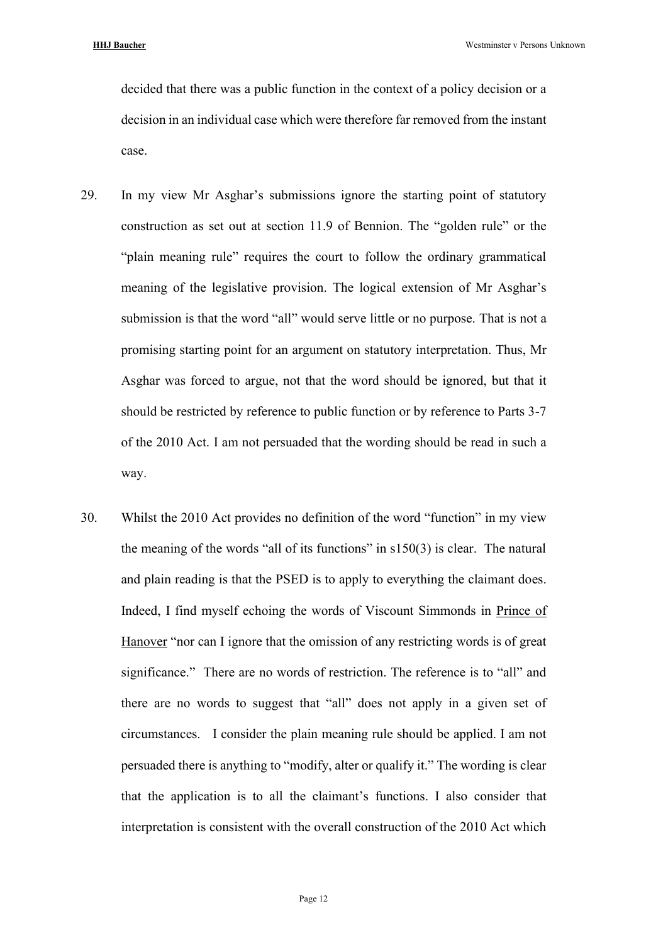decided that there was a public function in the context of a policy decision or a decision in an individual case which were therefore far removed from the instant case.

- 29. In my view Mr Asghar's submissions ignore the starting point of statutory construction as set out at section 11.9 of Bennion. The "golden rule" or the "plain meaning rule" requires the court to follow the ordinary grammatical meaning of the legislative provision. The logical extension of Mr Asghar's submission is that the word "all" would serve little or no purpose. That is not a promising starting point for an argument on statutory interpretation. Thus, Mr Asghar was forced to argue, not that the word should be ignored, but that it should be restricted by reference to public function or by reference to Parts 3-7 of the 2010 Act. I am not persuaded that the wording should be read in such a way.
- 30. Whilst the 2010 Act provides no definition of the word "function" in my view the meaning of the words "all of its functions" in s150(3) is clear. The natural and plain reading is that the PSED is to apply to everything the claimant does. Indeed, I find myself echoing the words of Viscount Simmonds in Prince of Hanover "nor can I ignore that the omission of any restricting words is of great significance." There are no words of restriction. The reference is to "all" and there are no words to suggest that "all" does not apply in a given set of circumstances. I consider the plain meaning rule should be applied. I am not persuaded there is anything to "modify, alter or qualify it." The wording is clear that the application is to all the claimant's functions. I also consider that interpretation is consistent with the overall construction of the 2010 Act which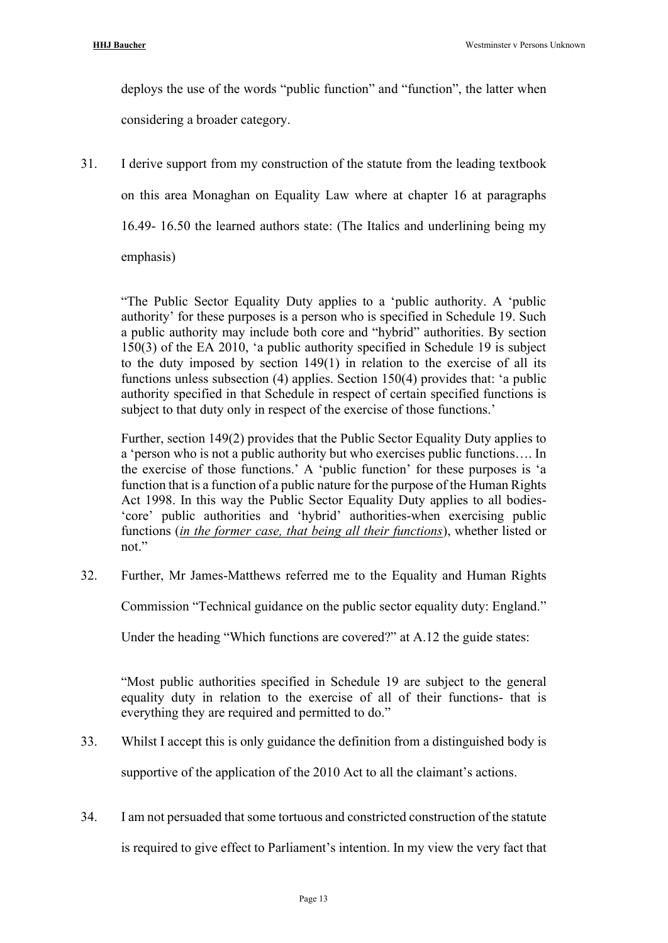deploys the use of the words "public function" and "function", the latter when considering a broader category.

31. I derive support from my construction of the statute from the leading textbook on this area Monaghan on Equality Law where at chapter 16 at paragraphs 16.49- 16.50 the learned authors state: (The Italics and underlining being my emphasis)

"The Public Sector Equality Duty applies to a 'public authority. A 'public authority' for these purposes is a person who is specified in Schedule 19. Such a public authority may include both core and "hybrid" authorities. By section 150(3) of the EA 2010, 'a public authority specified in Schedule 19 is subject to the duty imposed by section 149(1) in relation to the exercise of all its functions unless subsection (4) applies. Section 150(4) provides that: 'a public authority specified in that Schedule in respect of certain specified functions is subject to that duty only in respect of the exercise of those functions.'

Further, section 149(2) provides that the Public Sector Equality Duty applies to a 'person who is not a public authority but who exercises public functions…. In the exercise of those functions.' A 'public function' for these purposes is 'a function that is a function of a public nature for the purpose of the Human Rights Act 1998. In this way the Public Sector Equality Duty applies to all bodies- 'core' public authorities and 'hybrid' authorities-when exercising public functions (*in the former case, that being all their functions*), whether listed or not."

32. Further, Mr James-Matthews referred me to the Equality and Human Rights

Commission "Technical guidance on the public sector equality duty: England."

Under the heading "Which functions are covered?" at A.12 the guide states:

"Most public authorities specified in Schedule 19 are subject to the general equality duty in relation to the exercise of all of their functions- that is everything they are required and permitted to do."

- 33. Whilst I accept this is only guidance the definition from a distinguished body is supportive of the application of the 2010 Act to all the claimant's actions.
- 34. I am not persuaded that some tortuous and constricted construction of the statute is required to give effect to Parliament's intention. In my view the very fact that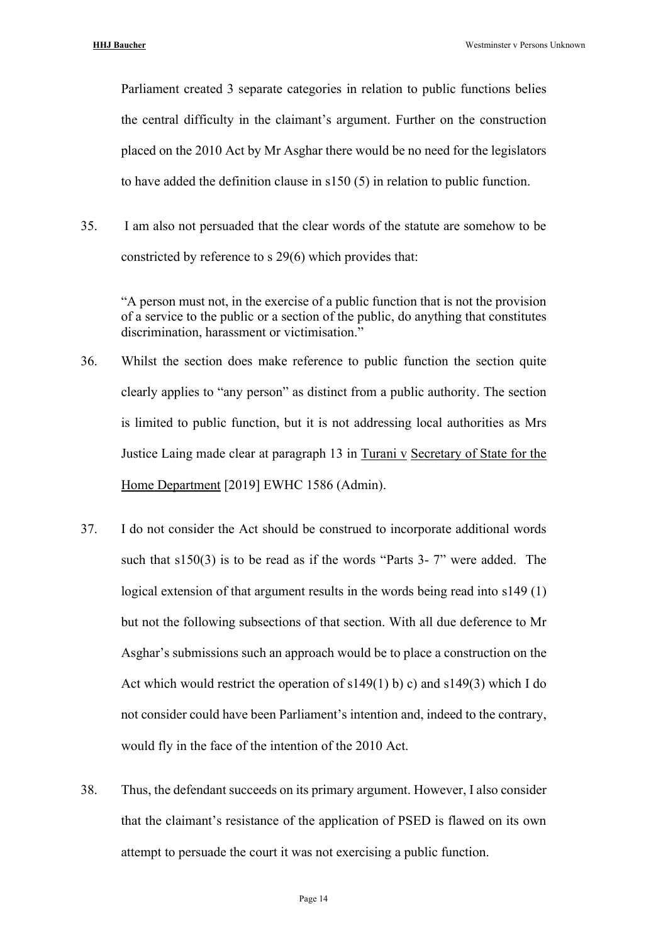Parliament created 3 separate categories in relation to public functions belies the central difficulty in the claimant's argument. Further on the construction placed on the 2010 Act by Mr Asghar there would be no need for the legislators to have added the definition clause in s150 (5) in relation to public function.

35. I am also not persuaded that the clear words of the statute are somehow to be constricted by reference to s 29(6) which provides that:

"A person must not, in the exercise of a public function that is not the provision of a service to the public or a section of the public, do anything that constitutes discrimination, harassment or victimisation."

- 36. Whilst the section does make reference to public function the section quite clearly applies to "any person" as distinct from a public authority. The section is limited to public function, but it is not addressing local authorities as Mrs Justice Laing made clear at paragraph 13 in Turani v Secretary of State for the Home Department [2019] EWHC 1586 (Admin).
- 37. I do not consider the Act should be construed to incorporate additional words such that  $s150(3)$  is to be read as if the words "Parts 3-7" were added. The logical extension of that argument results in the words being read into s149 (1) but not the following subsections of that section. With all due deference to Mr Asghar's submissions such an approach would be to place a construction on the Act which would restrict the operation of  $s149(1)$  b) c) and  $s149(3)$  which I do not consider could have been Parliament's intention and, indeed to the contrary, would fly in the face of the intention of the 2010 Act.
- 38. Thus, the defendant succeeds on its primary argument. However, I also consider that the claimant's resistance of the application of PSED is flawed on its own attempt to persuade the court it was not exercising a public function.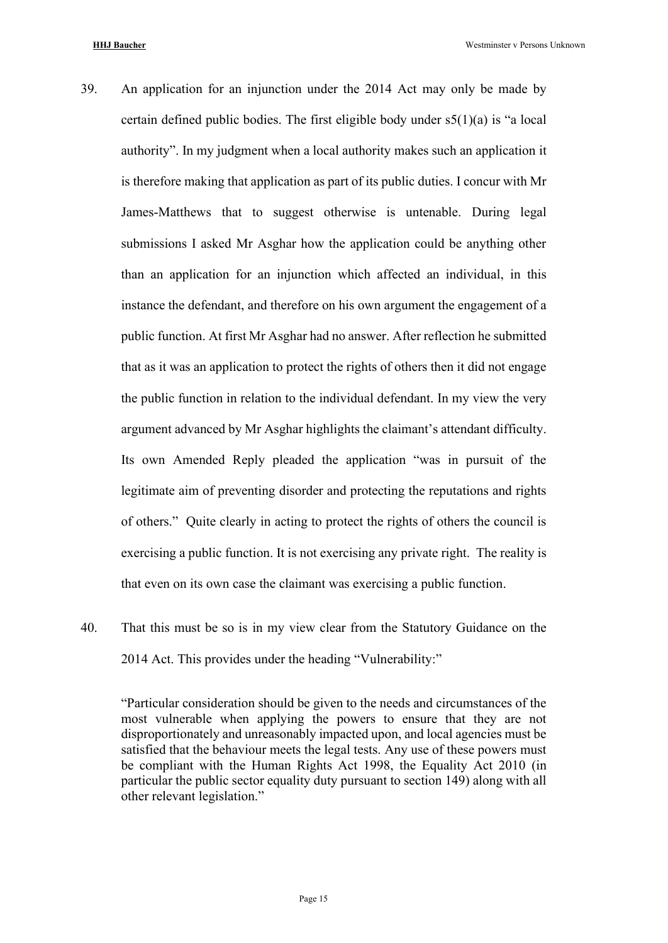- 39. An application for an injunction under the 2014 Act may only be made by certain defined public bodies. The first eligible body under  $s5(1)(a)$  is "a local authority". In my judgment when a local authority makes such an application it is therefore making that application as part of its public duties. I concur with Mr James-Matthews that to suggest otherwise is untenable. During legal submissions I asked Mr Asghar how the application could be anything other than an application for an injunction which affected an individual, in this instance the defendant, and therefore on his own argument the engagement of a public function. At first Mr Asghar had no answer. After reflection he submitted that as it was an application to protect the rights of others then it did not engage the public function in relation to the individual defendant. In my view the very argument advanced by Mr Asghar highlights the claimant's attendant difficulty. Its own Amended Reply pleaded the application "was in pursuit of the legitimate aim of preventing disorder and protecting the reputations and rights of others." Quite clearly in acting to protect the rights of others the council is exercising a public function. It is not exercising any private right. The reality is that even on its own case the claimant was exercising a public function.
- 40. That this must be so is in my view clear from the Statutory Guidance on the 2014 Act. This provides under the heading "Vulnerability:"

"Particular consideration should be given to the needs and circumstances of the most vulnerable when applying the powers to ensure that they are not disproportionately and unreasonably impacted upon, and local agencies must be satisfied that the behaviour meets the legal tests. Any use of these powers must be compliant with the Human Rights Act 1998, the Equality Act 2010 (in particular the public sector equality duty pursuant to section 149) along with all other relevant legislation."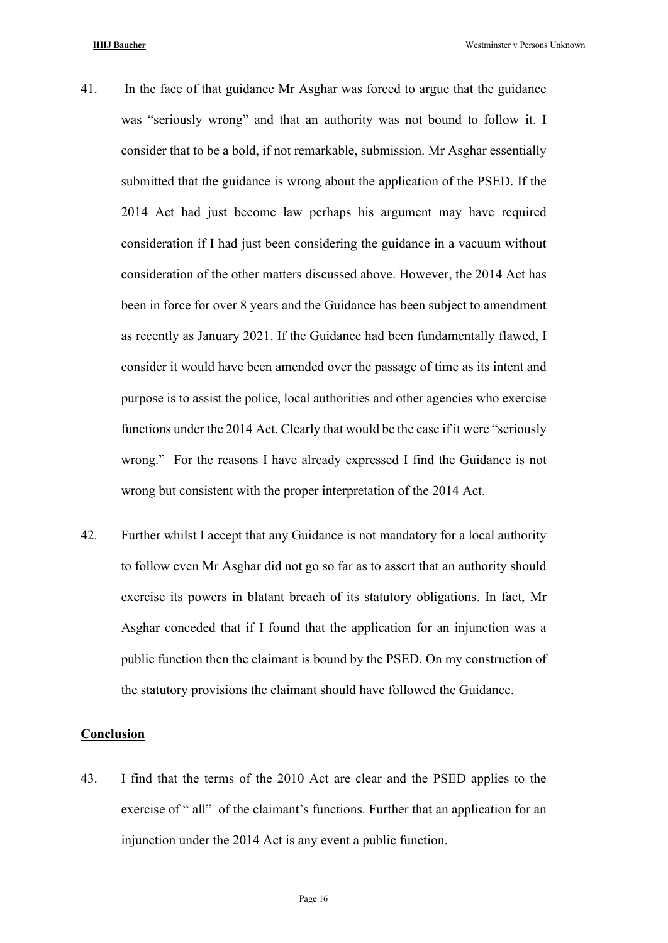- 41. In the face of that guidance Mr Asghar was forced to argue that the guidance was "seriously wrong" and that an authority was not bound to follow it. I consider that to be a bold, if not remarkable, submission. Mr Asghar essentially submitted that the guidance is wrong about the application of the PSED. If the 2014 Act had just become law perhaps his argument may have required consideration if I had just been considering the guidance in a vacuum without consideration of the other matters discussed above. However, the 2014 Act has been in force for over 8 years and the Guidance has been subject to amendment as recently as January 2021. If the Guidance had been fundamentally flawed, I consider it would have been amended over the passage of time as its intent and purpose is to assist the police, local authorities and other agencies who exercise functions under the 2014 Act. Clearly that would be the case if it were "seriously wrong." For the reasons I have already expressed I find the Guidance is not wrong but consistent with the proper interpretation of the 2014 Act.
- 42. Further whilst I accept that any Guidance is not mandatory for a local authority to follow even Mr Asghar did not go so far as to assert that an authority should exercise its powers in blatant breach of its statutory obligations. In fact, Mr Asghar conceded that if I found that the application for an injunction was a public function then the claimant is bound by the PSED. On my construction of the statutory provisions the claimant should have followed the Guidance.

### **Conclusion**

43. I find that the terms of the 2010 Act are clear and the PSED applies to the exercise of " all" of the claimant's functions. Further that an application for an injunction under the 2014 Act is any event a public function.